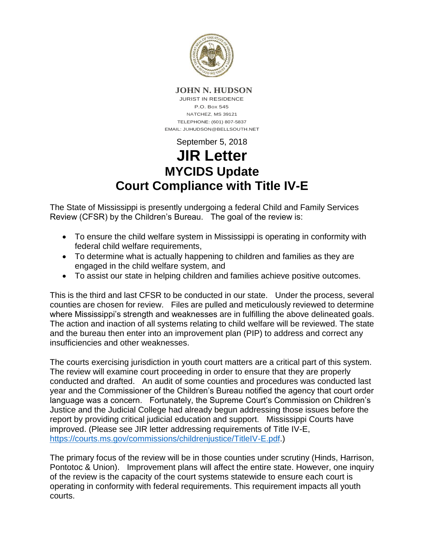

## **JOHN N. HUDSON**

JURIST IN RESIDENCE P.O. Box 545 NATCHEZ, MS 39121 TELEPHONE: (601) 807-5837 EMAIL: JUHUDSON@BELLSOUTH.NET

## September 5, 2018 **JIR Letter MYCIDS Update Court Compliance with Title IV-E**

The State of Mississippi is presently undergoing a federal Child and Family Services Review (CFSR) by the Children's Bureau. The goal of the review is:

- To ensure the child welfare system in Mississippi is operating in conformity with federal child welfare requirements,
- To determine what is actually happening to children and families as they are engaged in the child welfare system, and
- To assist our state in helping children and families achieve positive outcomes.

This is the third and last CFSR to be conducted in our state. Under the process, several counties are chosen for review. Files are pulled and meticulously reviewed to determine where Mississippi's strength and weaknesses are in fulfilling the above delineated goals. The action and inaction of all systems relating to child welfare will be reviewed. The state and the bureau then enter into an improvement plan (PIP) to address and correct any insufficiencies and other weaknesses.

The courts exercising jurisdiction in youth court matters are a critical part of this system. The review will examine court proceeding in order to ensure that they are properly conducted and drafted. An audit of some counties and procedures was conducted last year and the Commissioner of the Children's Bureau notified the agency that court order language was a concern. Fortunately, the Supreme Court's Commission on Children's Justice and the Judicial College had already begun addressing those issues before the report by providing critical judicial education and support. Mississippi Courts have improved. (Please see JIR letter addressing requirements of Title IV-E, [https://courts.ms.gov/commissions/childrenjustice/TitleIV-E.pdf.](https://courts.ms.gov/commissions/childrenjustice/TitleIV-E.pdf))

The primary focus of the review will be in those counties under scrutiny (Hinds, Harrison, Pontotoc & Union). Improvement plans will affect the entire state. However, one inquiry of the review is the capacity of the court systems statewide to ensure each court is operating in conformity with federal requirements. This requirement impacts all youth courts.